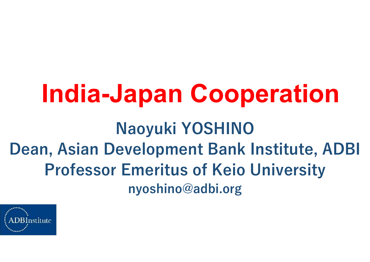### India-Japan Cooperation Naoyuki YOSHINO Dean, Asian Development Bank Institute, ADBI Professor Emeritus of Keio University nyoshino@adbi.org

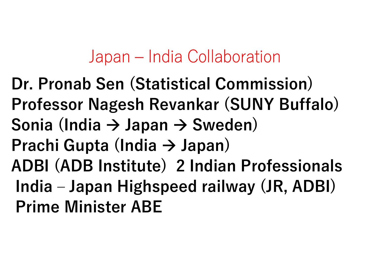Japan – India Collaboration<br>Sen (Statistical Commission) Japan – India Collaboration<br>Dr. Pronab Sen (Statistical Commission)<br>Professor Nagesh Revankar (SUNY Buffalo) Japan – India Collaboration<br>Dr. Pronab Sen (Statistical Commission)<br>Professor Nagesh Revankar (SUNY Buffalo)<br>Sonia (India → Japan → Sweden) Sonia (India  $\rightarrow$  Japan  $\rightarrow$  Sweden) Prachi Gupta (India  $\rightarrow$  Japan) ADBI (ADB Institute) 2 Indian Professionals Jr. Pronab Sen (Statistical Commission)<br>Professor Nagesh Revankar (SUNY Buffalo)<br>Sonia (India → Japan → Sweden)<br>Prachi Gupta (India → Japan)<br>ADBI (ADB Institute) 2 Indian Professionals<br>India – Japan Highspeed railway (JR, Prime Minister ABE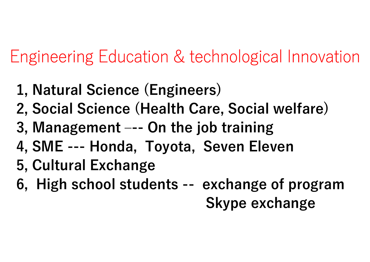Engineering Education & technological Innovation Engineering Education & technological Innovation<br>1, Natural Science (Engineers)<br>2, Social Science (Health Care, Social welfare)<br>3, Management –-- On the job training<br>4, SME --- Honda, Toyota, Seven Eleven Engineering Education & technological Innovation<br>1, Natural Science (Engineers)<br>2, Social Science (Health Care, Social welfare)<br>3, Management --- On the job training<br>4, SME --- Honda, Toyota, Seven Eleven<br>5, Cultural Excha

- 1, Natural Science (Engineers)
- 2, Social Science (Health Care, Social welfare)
- 
- 
- 5, Cultural Exchange
- 1, Natural Science (Engineers)<br>2, Social Science (Health Care, Social welfare)<br>3, Management --- On the job training<br>4, SME --- Honda, Toyota, Seven Eleven<br>5, Cultural Exchange<br>6, High school students -- exchange of progra

Skype exchange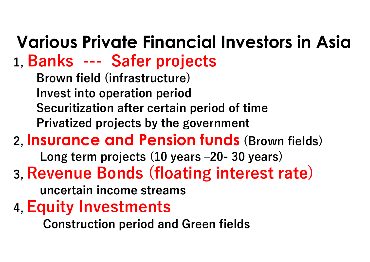# Various Private Financial Investors in Asia<br>L. Banks --- Safer projects **Various Private Financial Investor<br>1, Banks --- Safer projects<br>Brown field (infrastructure)<br>Invest into operation period**

Brown field (infrastructure) Invest into operation period Securitization after certain period of time Privatized projects by the government anks --- Safer projects<br>Brown field (infrastructure)<br>nvest into operation period<br>Securitization after certain period of time<br>Privatized projects by the government<br>surance and Pension funds (Brown fields)<br>Long term projects

### 2, Insurance and Pension funds (Brown fields)

### 3, Revenue Bonds (floating interest rate)

uncertain income streams

4, Equity Investments

Construction period and Green fields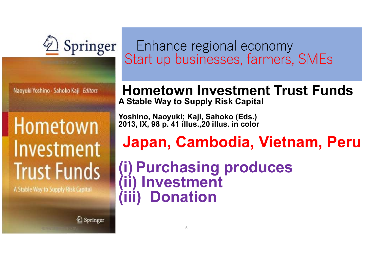

Naoyuki Yoshino - Sahoko Kaji Editors

### Hometown Investment **Trust Funds**

A Stable Way to Supply Risk Capital

2 Springer

## Enhance regional economy Start up businesses, farmers, SMEs Enhance regional economy<br>Start up businesses, farmers, SMEs<br>**Hometown Investment Trust Funds**<br>A Stable Way to Supply Risk Capital<br>Yoshino, Naoyuki; Kaji, Sahoko (Eds.)<br>2013, IX, 98 p. 41 illus.,20 illus. in color<br>**Japan. C**

### Hometown Investment Trust Funds A Stable Way to Supply Risk Capital

Yoshino, Naoyuki; Kaji, Sahoko (Eds.)<br>2013, IX, 98 p. 41 illus.,20 illus. in color

### Japan, Cambodia, Vietnam, Peru

Start up businesses, farmers, SMES<br>
Hometown Investment Trust Funds<br>
A Stable Way to Supply Risk Capital<br>
Yoshino, Naoyuki; Kaji, Sahoko (Eds.)<br>
2013, IX, 98 p. 41 illus.,20 illus. in color<br> **Japan, Cambodia, Vietnam, Peru** Hometown Investment Tr<br>
A Stable Way to Supply Risk Capital<br>
Yoshino, Naoyuki; Kaji, Sahoko (Eds.)<br>
2013, IX, 98 p. 41 illus.,20 illus. in color<br> **Japan, Cambodia, Viet**<br>
(i) Purchasing produce<br>
(ii) Investment<br>
(iii) Dona (iii) Donation